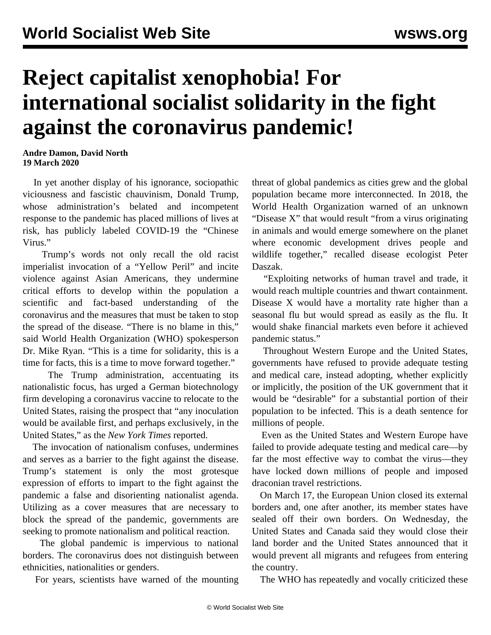## **Reject capitalist xenophobia! For international socialist solidarity in the fight against the coronavirus pandemic!**

**Andre Damon, David North 19 March 2020**

 In yet another display of his ignorance, sociopathic viciousness and fascistic chauvinism, Donald Trump, whose administration's belated and incompetent response to the pandemic has placed millions of lives at risk, has publicly labeled COVID-19 the "Chinese Virus."

 Trump's words not only recall the old racist imperialist invocation of a "Yellow Peril" and incite violence against Asian Americans, they undermine critical efforts to develop within the population a scientific and fact-based understanding of the coronavirus and the measures that must be taken to stop the spread of the disease. "There is no blame in this," said World Health Organization (WHO) spokesperson Dr. Mike Ryan. "This is a time for solidarity, this is a time for facts, this is a time to move forward together."

 The Trump administration, accentuating its nationalistic focus, has urged a German biotechnology firm developing a coronavirus vaccine to relocate to the United States, raising the prospect that "any inoculation would be available first, and perhaps exclusively, in the United States," as the *New York Times* reported.

 The invocation of nationalism confuses, undermines and serves as a barrier to the fight against the disease. Trump's statement is only the most grotesque expression of efforts to impart to the fight against the pandemic a false and disorienting nationalist agenda. Utilizing as a cover measures that are necessary to block the spread of the pandemic, governments are seeking to promote nationalism and political reaction.

 The global pandemic is impervious to national borders. The coronavirus does not distinguish between ethnicities, nationalities or genders.

For years, scientists have warned of the mounting

threat of global pandemics as cities grew and the global population became more interconnected. In 2018, the World Health Organization warned of an unknown "Disease X" that would result "from a virus originating in animals and would emerge somewhere on the planet where economic development drives people and wildlife together," recalled disease ecologist Peter Daszak.

 "Exploiting networks of human travel and trade, it would reach multiple countries and thwart containment. Disease X would have a mortality rate higher than a seasonal flu but would spread as easily as the flu. It would shake financial markets even before it achieved pandemic status."

 Throughout Western Europe and the United States, governments have refused to provide adequate testing and medical care, instead adopting, whether explicitly or implicitly, the position of the UK government that it would be "desirable" for a substantial portion of their population to be infected. This is a death sentence for millions of people.

 Even as the United States and Western Europe have failed to provide adequate testing and medical care—by far the most effective way to combat the virus—they have locked down millions of people and imposed draconian travel restrictions.

 On March 17, the European Union closed its external borders and, one after another, its member states have sealed off their own borders. On Wednesday, the United States and Canada said they would close their land border and the United States announced that it would prevent all migrants and refugees from entering the country.

The WHO has repeatedly and vocally criticized these